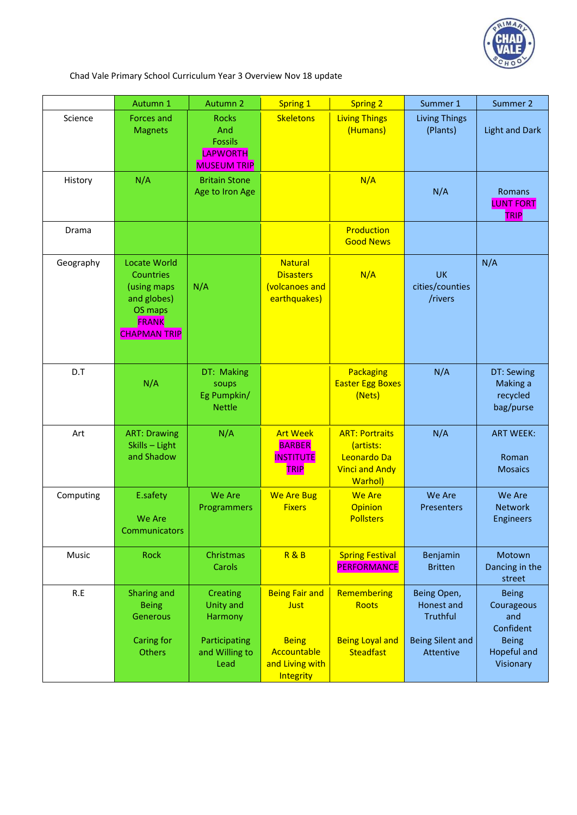

Chad Vale Primary School Curriculum Year 3 Overview Nov 18 update

|           | Autumn 1                                                                                                         | Autumn 2                                                                          | <b>Spring 1</b>                                                      | <b>Spring 2</b>                                                                              | Summer 1                                                                             | Summer 2                                                                             |
|-----------|------------------------------------------------------------------------------------------------------------------|-----------------------------------------------------------------------------------|----------------------------------------------------------------------|----------------------------------------------------------------------------------------------|--------------------------------------------------------------------------------------|--------------------------------------------------------------------------------------|
| Science   | <b>Forces and</b><br><b>Magnets</b>                                                                              | <b>Rocks</b><br>And<br><b>Fossils</b><br>LAPWORTH<br><b>MUSEUM TRIP</b>           | <b>Skeletons</b>                                                     | <b>Living Things</b><br>(Humans)                                                             | <b>Living Things</b><br>(Plants)                                                     | <b>Light and Dark</b>                                                                |
| History   | N/A                                                                                                              | <b>Britain Stone</b><br>Age to Iron Age                                           |                                                                      | N/A                                                                                          | N/A                                                                                  | Romans<br><b>LUNT FORT</b><br><b>TRIP</b>                                            |
| Drama     |                                                                                                                  |                                                                                   |                                                                      | Production<br><b>Good News</b>                                                               |                                                                                      |                                                                                      |
| Geography | <b>Locate World</b><br>Countries<br>(using maps<br>and globes)<br>OS maps<br><b>FRANK</b><br><b>CHAPMAN TRIP</b> | N/A                                                                               | <b>Natural</b><br><b>Disasters</b><br>(volcanoes and<br>earthquakes) | N/A                                                                                          | <b>UK</b><br>cities/counties<br>/rivers                                              | N/A                                                                                  |
| D.T       | N/A                                                                                                              | DT: Making<br>soups<br>Eg Pumpkin/<br><b>Nettle</b>                               |                                                                      | Packaging<br><b>Easter Egg Boxes</b><br>(Nets)                                               | N/A                                                                                  | DT: Sewing<br>Making a<br>recycled<br>bag/purse                                      |
| Art       | <b>ART: Drawing</b><br>Skills - Light<br>and Shadow                                                              | N/A                                                                               | <b>Art Week</b><br><b>BARBER</b><br><b>INSTITUTE</b><br><b>TRIP</b>  | <b>ART: Portraits</b><br>(artists:<br>Leonardo Da<br><b>Vinci and Andy</b><br><b>Warhol)</b> | N/A                                                                                  | <b>ART WEEK:</b><br>Roman<br><b>Mosaics</b>                                          |
| Computing | E.safety<br>We Are<br>Communicators                                                                              | We Are<br>Programmers                                                             | <b>We Are Bug</b><br><b>Fixers</b>                                   | <b>We Are</b><br><b>Opinion</b><br><b>Pollsters</b>                                          | We Are<br><b>Presenters</b>                                                          | We Are<br><b>Network</b><br><b>Engineers</b>                                         |
| Music     | <b>Rock</b>                                                                                                      | Christmas<br>Carols                                                               | <b>R&amp;B</b>                                                       | <b>Spring Festival</b><br><b>PERFORMANCE</b>                                                 | Benjamin<br><b>Britten</b>                                                           | Motown<br>Dancing in the<br>street                                                   |
| R.E       | Sharing and<br><b>Being</b><br><b>Generous</b><br><b>Caring for</b><br><b>Others</b>                             | <b>Creating</b><br><b>Unity and</b><br>Harmony<br>Participating<br>and Willing to | <b>Being Fair and</b><br><b>Just</b><br><b>Being</b><br>Accountable  | Remembering<br><b>Roots</b><br><b>Being Loyal and</b><br><b>Steadfast</b>                    | Being Open,<br>Honest and<br><b>Truthful</b><br><b>Being Silent and</b><br>Attentive | <b>Being</b><br>Courageous<br>and<br>Confident<br><b>Being</b><br><b>Hopeful and</b> |
|           |                                                                                                                  | Lead                                                                              | and Living with<br>Integrity                                         |                                                                                              |                                                                                      | Visionary                                                                            |